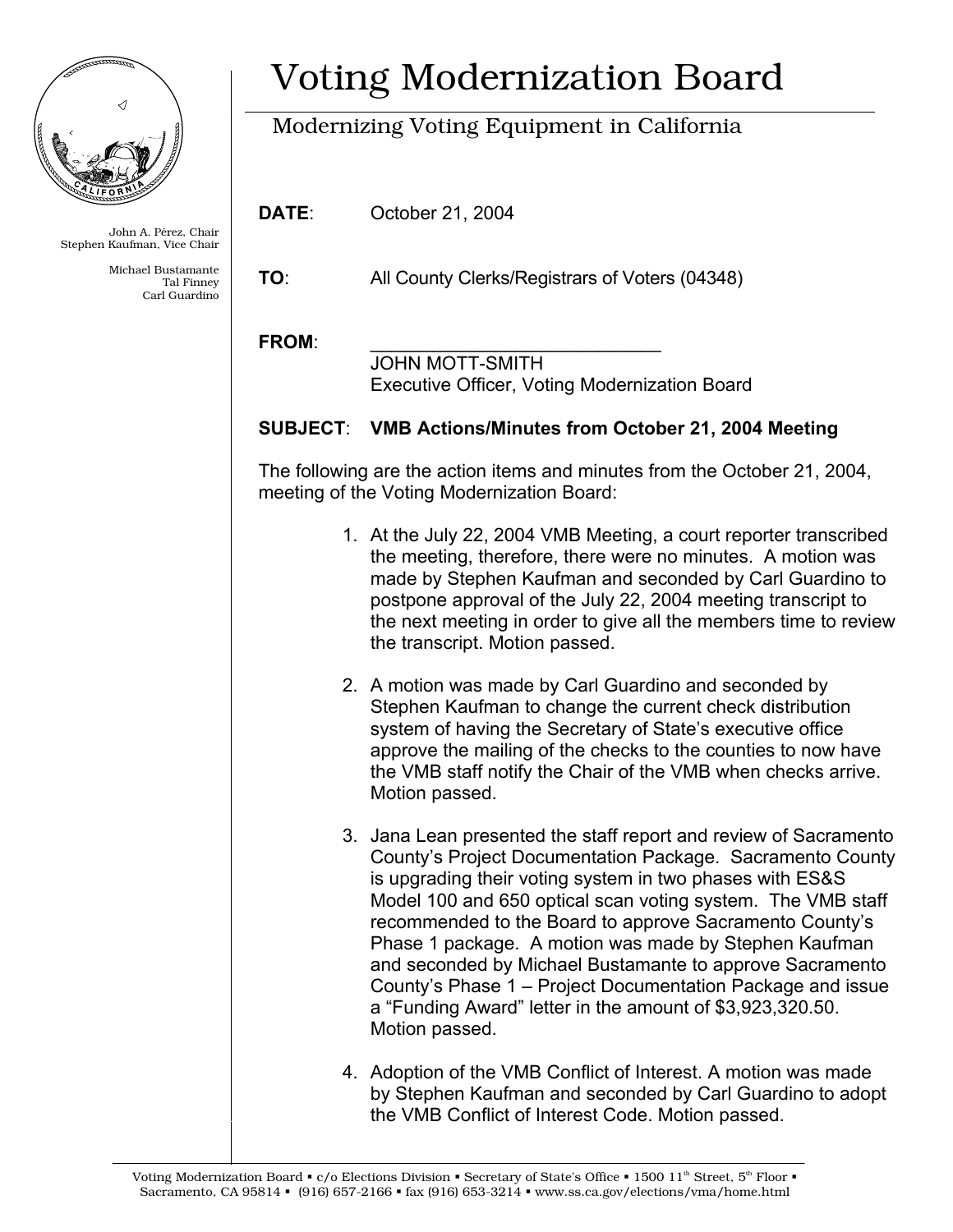

John A. Pérez, Chair Stephen Kaufman, Vice Chair

> Michael Bustamante Tal Finney Carl Guardino

## Voting Modernization Board

## Modernizing Voting Equipment in California

**DATE**: October 21, 2004

**TO**: All County Clerks/Registrars of Voters (04348)

## FROM:

 JOHN MOTT-SMITH Executive Officer, Voting Modernization Board

## **SUBJECT**: **VMB Actions/Minutes from October 21, 2004 Meeting**

The following are the action items and minutes from the October 21, 2004, meeting of the Voting Modernization Board:

- 1. At the July 22, 2004 VMB Meeting, a court reporter transcribed the meeting, therefore, there were no minutes. A motion was made by Stephen Kaufman and seconded by Carl Guardino to postpone approval of the July 22, 2004 meeting transcript to the next meeting in order to give all the members time to review the transcript. Motion passed.
- 2. A motion was made by Carl Guardino and seconded by Stephen Kaufman to change the current check distribution system of having the Secretary of State's executive office approve the mailing of the checks to the counties to now have the VMB staff notify the Chair of the VMB when checks arrive. Motion passed.
- 3. Jana Lean presented the staff report and review of Sacramento County's Project Documentation Package. Sacramento County is upgrading their voting system in two phases with ES&S Model 100 and 650 optical scan voting system. The VMB staff recommended to the Board to approve Sacramento County's Phase 1 package. A motion was made by Stephen Kaufman and seconded by Michael Bustamante to approve Sacramento County's Phase 1 – Project Documentation Package and issue a "Funding Award" letter in the amount of \$3,923,320.50. Motion passed.
- 4. Adoption of the VMB Conflict of Interest. A motion was made by Stephen Kaufman and seconded by Carl Guardino to adopt the VMB Conflict of Interest Code. Motion passed.